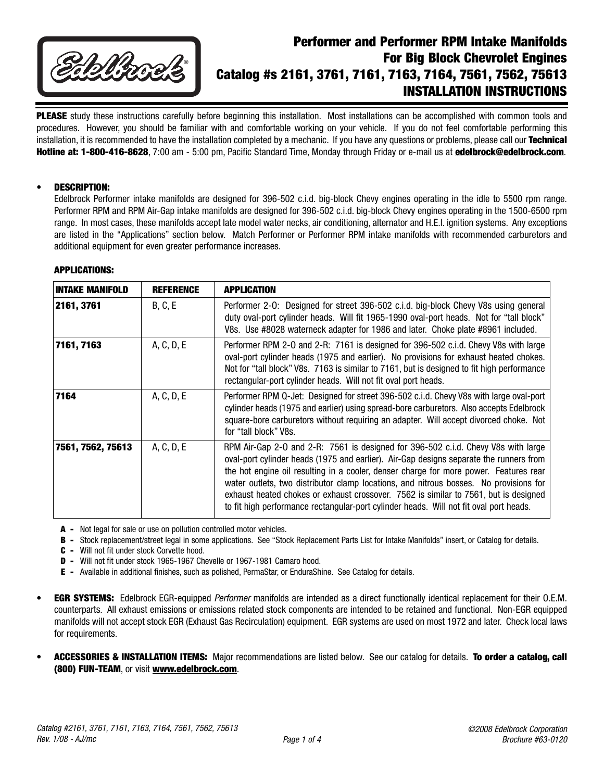

# **Performer and Performer RPM Intake Manifolds For Big Block Chevrolet Engines Catalog #s 2161, 3761, 7161, 7163, 7164, 7561, 7562, 75613 INSTALLATION INSTRUCTIONS**

**PLEASE** study these instructions carefully before beginning this installation. Most installations can be accomplished with common tools and procedures. However, you should be familiar with and comfortable working on your vehicle. If you do not feel comfortable performing this installation, it is recommended to have the installation completed by a mechanic. If you have any questions or problems, please call our **Technical Hotline at: 1-800-416-8628**, 7:00 am - 5:00 pm, Pacific Standard Time, Monday through Friday or e-mail us at **edelbrock@edelbrock.com**.

## • **DESCRIPTION:**

Edelbrock Performer intake manifolds are designed for 396-502 c.i.d. big-block Chevy engines operating in the idle to 5500 rpm range. Performer RPM and RPM Air-Gap intake manifolds are designed for 396-502 c.i.d. big-block Chevy engines operating in the 1500-6500 rpm range. In most cases, these manifolds accept late model water necks, air conditioning, alternator and H.E.I. ignition systems. Any exceptions are listed in the "Applications" section below. Match Performer or Performer RPM intake manifolds with recommended carburetors and additional equipment for even greater performance increases.

#### **APPLICATIONS:**

| <b>INTAKE MANIFOLD</b> | <b>REFERENCE</b> | <b>APPLICATION</b>                                                                                                                                                                                                                                                                                                                                                                                                                                                                                                                              |
|------------------------|------------------|-------------------------------------------------------------------------------------------------------------------------------------------------------------------------------------------------------------------------------------------------------------------------------------------------------------------------------------------------------------------------------------------------------------------------------------------------------------------------------------------------------------------------------------------------|
| 2161, 3761             | B, C, E          | Performer 2-0: Designed for street 396-502 c.i.d. big-block Chevy V8s using general<br>duty oval-port cylinder heads. Will fit 1965-1990 oval-port heads. Not for "tall block"<br>V8s. Use #8028 waterneck adapter for 1986 and later. Choke plate #8961 included.                                                                                                                                                                                                                                                                              |
| 7161, 7163             | A, C, D, E       | Performer RPM 2-0 and 2-R: 7161 is designed for 396-502 c.i.d. Chevy V8s with large<br>oval-port cylinder heads (1975 and earlier). No provisions for exhaust heated chokes.<br>Not for "tall block" V8s. 7163 is similar to 7161, but is designed to fit high performance<br>rectangular-port cylinder heads. Will not fit oval port heads.                                                                                                                                                                                                    |
| 7164                   | A, C, D, E       | Performer RPM Q-Jet: Designed for street 396-502 c.i.d. Chevy V8s with large oval-port<br>cylinder heads (1975 and earlier) using spread-bore carburetors. Also accepts Edelbrock<br>square-bore carburetors without requiring an adapter. Will accept divorced choke. Not<br>for "tall block" V8s.                                                                                                                                                                                                                                             |
| 7561, 7562, 75613      | A, C, D, E       | RPM Air-Gap 2-0 and 2-R: 7561 is designed for 396-502 c.i.d. Chevy V8s with large<br>oval-port cylinder heads (1975 and earlier). Air-Gap designs separate the runners from<br>the hot engine oil resulting in a cooler, denser charge for more power. Features rear<br>water outlets, two distributor clamp locations, and nitrous bosses. No provisions for<br>exhaust heated chokes or exhaust crossover. 7562 is similar to 7561, but is designed<br>to fit high performance rectangular-port cylinder heads. Will not fit oval port heads. |

- **A -** Not legal for sale or use on pollution controlled motor vehicles.
- **B -** Stock replacement/street legal in some applications. See "Stock Replacement Parts List for Intake Manifolds" insert, or Catalog for details.
- **C -** Will not fit under stock Corvette hood.
- **D -** Will not fit under stock 1965-1967 Chevelle or 1967-1981 Camaro hood.
- **E -** Available in additional finishes, such as polished, PermaStar, or EnduraShine. See Catalog for details.
- **EGR SYSTEMS:** Edelbrock EGR-equipped Performer manifolds are intended as a direct functionally identical replacement for their O.E.M. counterparts. All exhaust emissions or emissions related stock components are intended to be retained and functional. Non-EGR equipped manifolds will not accept stock EGR (Exhaust Gas Recirculation) equipment. EGR systems are used on most 1972 and later. Check local laws for requirements.
- **ACCESSORIES & INSTALLATION ITEMS:** Major recommendations are listed below. See our catalog for details. **To order a catalog, call (800) FUN-TEAM**, or visit **www.edelbrock.com**.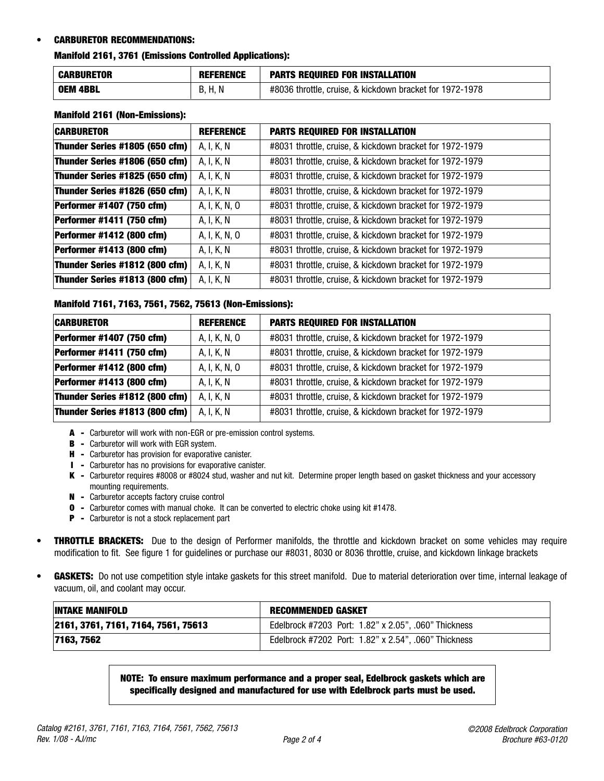## • **CARBURETOR RECOMMENDATIONS:**

## **Manifold 2161, 3761 (Emissions Controlled Applications):**

| <b>CARBURETOR</b> | <b>REFERENCE</b> | <b>PARTS REQUIRED FOR INSTALLATION</b>                   |
|-------------------|------------------|----------------------------------------------------------|
| <b>OEM 4BBL</b>   | H. N<br>ĸ<br>υ.  | #8036 throttle, cruise, & kickdown bracket for 1972-1978 |

#### **Manifold 2161 (Non-Emissions):**

| <b>CARBURETOR</b>                | <b>REFERENCE</b> | <b>PARTS REQUIRED FOR INSTALLATION</b>                   |
|----------------------------------|------------------|----------------------------------------------------------|
| Thunder Series #1805 (650 cfm)   | A, I, K, N       | #8031 throttle, cruise, & kickdown bracket for 1972-1979 |
| Thunder Series #1806 (650 cfm)   | A, I, K, N       | #8031 throttle, cruise, & kickdown bracket for 1972-1979 |
| Thunder Series #1825 (650 cfm)   | A, I, K, N       | #8031 throttle, cruise, & kickdown bracket for 1972-1979 |
| Thunder Series #1826 (650 cfm)   | A, I, K, N       | #8031 throttle, cruise, & kickdown bracket for 1972-1979 |
| <b>Performer #1407 (750 cfm)</b> | A, I, K, N, O    | #8031 throttle, cruise, & kickdown bracket for 1972-1979 |
| Performer #1411 (750 cfm)        | A, I, K, N       | #8031 throttle, cruise, & kickdown bracket for 1972-1979 |
| <b>Performer #1412 (800 cfm)</b> | A, I, K, N, O    | #8031 throttle, cruise, & kickdown bracket for 1972-1979 |
| <b>Performer #1413 (800 cfm)</b> | A, I, K, N       | #8031 throttle, cruise, & kickdown bracket for 1972-1979 |
| Thunder Series #1812 (800 cfm)   | A, I, K, N       | #8031 throttle, cruise, & kickdown bracket for 1972-1979 |
| Thunder Series #1813 (800 cfm)   | A, I, K, N       | #8031 throttle, cruise, & kickdown bracket for 1972-1979 |

### **Manifold 7161, 7163, 7561, 7562, 75613 (Non-Emissions):**

| <b>CARBURETOR</b>                | <b>REFERENCE</b> | <b>PARTS REQUIRED FOR INSTALLATION</b>                   |
|----------------------------------|------------------|----------------------------------------------------------|
| <b>Performer #1407 (750 cfm)</b> | A, I, K, N, O    | #8031 throttle, cruise, & kickdown bracket for 1972-1979 |
| Performer #1411 (750 cfm)        | A, I, K, N       | #8031 throttle, cruise, & kickdown bracket for 1972-1979 |
| <b>Performer #1412 (800 cfm)</b> | A, I, K, N, O    | #8031 throttle, cruise, & kickdown bracket for 1972-1979 |
| <b>Performer #1413 (800 cfm)</b> | A, I, K, N       | #8031 throttle, cruise, & kickdown bracket for 1972-1979 |
| Thunder Series #1812 (800 cfm)   | A, I, K, N       | #8031 throttle, cruise, & kickdown bracket for 1972-1979 |
| Thunder Series #1813 (800 cfm)   | A, I, K, N       | #8031 throttle, cruise, & kickdown bracket for 1972-1979 |

- **A -** Carburetor will work with non-EGR or pre-emission control systems.
- **B -** Carburetor will work with EGR system.
- **H -** Carburetor has provision for evaporative canister.
- **I -** Carburetor has no provisions for evaporative canister.
- **K -** Carburetor requires #8008 or #8024 stud, washer and nut kit. Determine proper length based on gasket thickness and your accessory mounting requirements.
- **N -** Carburetor accepts factory cruise control
- **O -** Carburetor comes with manual choke. It can be converted to electric choke using kit #1478.
- **P -** Carburetor is not a stock replacement part
- **THROTTLE BRACKETS:** Due to the design of Performer manifolds, the throttle and kickdown bracket on some vehicles may require modification to fit. See figure 1 for guidelines or purchase our #8031, 8030 or 8036 throttle, cruise, and kickdown linkage brackets
- **GASKETS:** Do not use competition style intake gaskets for this street manifold. Due to material deterioration over time, internal leakage of vacuum, oil, and coolant may occur.

| <b>INTAKE MANIFOLD</b>              | <b>RECOMMENDED GASKET</b>                            |
|-------------------------------------|------------------------------------------------------|
| 2161, 3761, 7161, 7164, 7561, 75613 | Edelbrock #7203 Port: 1.82" x 2.05", .060" Thickness |
| 7163, 7562                          | Edelbrock #7202 Port: 1.82" x 2.54", .060" Thickness |

**NOTE: To ensure maximum performance and a proper seal, Edelbrock gaskets which are specifically designed and manufactured for use with Edelbrock parts must be used.**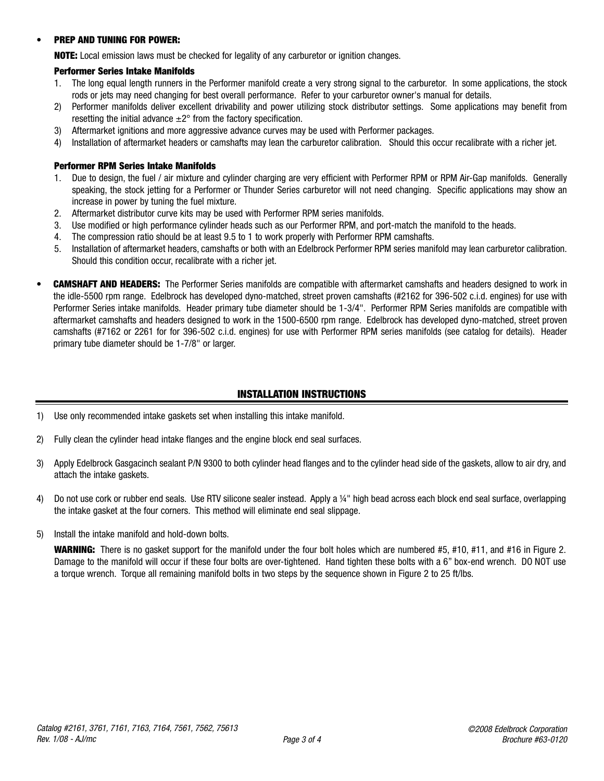## • **PREP AND TUNING FOR POWER:**

**NOTE:** Local emission laws must be checked for legality of any carburetor or ignition changes.

## **Performer Series Intake Manifolds**

- 1. The long equal length runners in the Performer manifold create a very strong signal to the carburetor. In some applications, the stock rods or jets may need changing for best overall performance. Refer to your carburetor owner's manual for details.
- 2) Performer manifolds deliver excellent drivability and power utilizing stock distributor settings. Some applications may benefit from resetting the initial advance  $\pm 2^{\circ}$  from the factory specification.
- 3) Aftermarket ignitions and more aggressive advance curves may be used with Performer packages.
- 4) Installation of aftermarket headers or camshafts may lean the carburetor calibration. Should this occur recalibrate with a richer jet.

### **Performer RPM Series Intake Manifolds**

- 1. Due to design, the fuel / air mixture and cylinder charging are very efficient with Performer RPM or RPM Air-Gap manifolds. Generally speaking, the stock jetting for a Performer or Thunder Series carburetor will not need changing. Specific applications may show an increase in power by tuning the fuel mixture.
- 2. Aftermarket distributor curve kits may be used with Performer RPM series manifolds.
- 3. Use modified or high performance cylinder heads such as our Performer RPM, and port-match the manifold to the heads.
- 4. The compression ratio should be at least 9.5 to 1 to work properly with Performer RPM camshafts.
- 5. Installation of aftermarket headers, camshafts or both with an Edelbrock Performer RPM series manifold may lean carburetor calibration. Should this condition occur, recalibrate with a richer jet.
- **CAMSHAFT AND HEADERS:** The Performer Series manifolds are compatible with aftermarket camshafts and headers designed to work in the idle-5500 rpm range. Edelbrock has developed dyno-matched, street proven camshafts (#2162 for 396-502 c.i.d. engines) for use with Performer Series intake manifolds. Header primary tube diameter should be 1-3/4". Performer RPM Series manifolds are compatible with aftermarket camshafts and headers designed to work in the 1500-6500 rpm range. Edelbrock has developed dyno-matched, street proven camshafts (#7162 or 2261 for for 396-502 c.i.d. engines) for use with Performer RPM series manifolds (see catalog for details). Header primary tube diameter should be 1-7/8" or larger.

# **INSTALLATION INSTRUCTIONS**

- 1) Use only recommended intake gaskets set when installing this intake manifold.
- 2) Fully clean the cylinder head intake flanges and the engine block end seal surfaces.
- 3) Apply Edelbrock Gasgacinch sealant P/N 9300 to both cylinder head flanges and to the cylinder head side of the gaskets, allow to air dry, and attach the intake gaskets.
- 4) Do not use cork or rubber end seals. Use RTV silicone sealer instead. Apply a ¼" high bead across each block end seal surface, overlapping the intake gasket at the four corners. This method will eliminate end seal slippage.
- 5) Install the intake manifold and hold-down bolts.

**WARNING:** There is no gasket support for the manifold under the four bolt holes which are numbered #5, #10, #11, and #16 in Figure 2. Damage to the manifold will occur if these four bolts are over-tightened. Hand tighten these bolts with a 6" box-end wrench. DO NOT use a torque wrench. Torque all remaining manifold bolts in two steps by the sequence shown in Figure 2 to 25 ft/lbs.